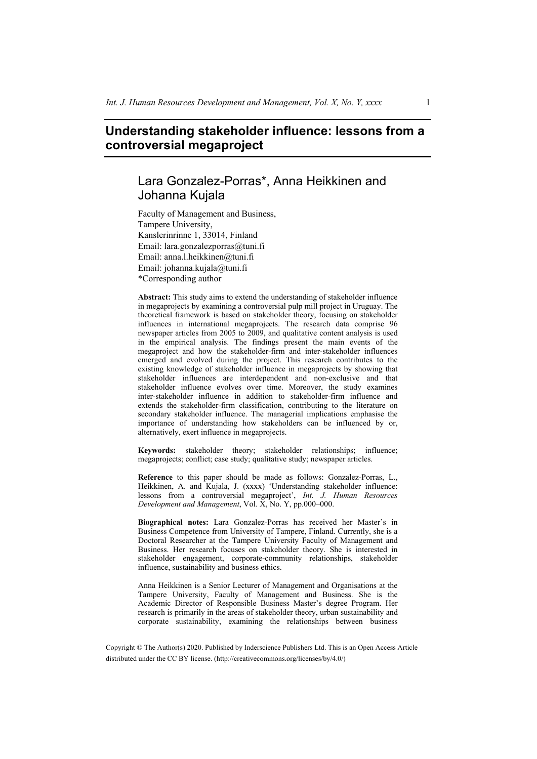# **Understanding stakeholder influence: lessons from a controversial megaproject**

# Lara Gonzalez-Porras\*, Anna Heikkinen and Johanna Kujala

Faculty of Management and Business, Tampere University, Kanslerinrinne 1, 33014, Finland Email: lara.gonzalezporras@tuni.fi Email: anna.l.heikkinen@tuni.fi Email: johanna.kujala@tuni.fi \*Corresponding author

**Abstract:** This study aims to extend the understanding of stakeholder influence in megaprojects by examining a controversial pulp mill project in Uruguay. The theoretical framework is based on stakeholder theory, focusing on stakeholder influences in international megaprojects. The research data comprise 96 newspaper articles from 2005 to 2009, and qualitative content analysis is used in the empirical analysis. The findings present the main events of the megaproject and how the stakeholder-firm and inter-stakeholder influences emerged and evolved during the project. This research contributes to the existing knowledge of stakeholder influence in megaprojects by showing that stakeholder influences are interdependent and non-exclusive and that stakeholder influence evolves over time. Moreover, the study examines inter-stakeholder influence in addition to stakeholder-firm influence and extends the stakeholder-firm classification, contributing to the literature on secondary stakeholder influence. The managerial implications emphasise the importance of understanding how stakeholders can be influenced by or, alternatively, exert influence in megaprojects.

**Keywords:** stakeholder theory; stakeholder relationships; influence; megaprojects; conflict; case study; qualitative study; newspaper articles.

**Reference** to this paper should be made as follows: Gonzalez-Porras, L., Heikkinen, A. and Kujala, J. (xxxx) 'Understanding stakeholder influence: lessons from a controversial megaproject', *Int. J. Human Resources Development and Management*, Vol. X, No. Y, pp.000–000.

**Biographical notes:** Lara Gonzalez-Porras has received her Master's in Business Competence from University of Tampere, Finland. Currently, she is a Doctoral Researcher at the Tampere University Faculty of Management and Business. Her research focuses on stakeholder theory. She is interested in stakeholder engagement, corporate-community relationships, stakeholder influence, sustainability and business ethics.

Anna Heikkinen is a Senior Lecturer of Management and Organisations at the Tampere University, Faculty of Management and Business. She is the Academic Director of Responsible Business Master's degree Program. Her research is primarily in the areas of stakeholder theory, urban sustainability and corporate sustainability, examining the relationships between business

 Copyright © The Author(s) 2020. Published by Inderscience Publishers Ltd. This is an Open Access Article distributed under the CC BY license. (http://creativecommons.org/licenses/by/4.0/)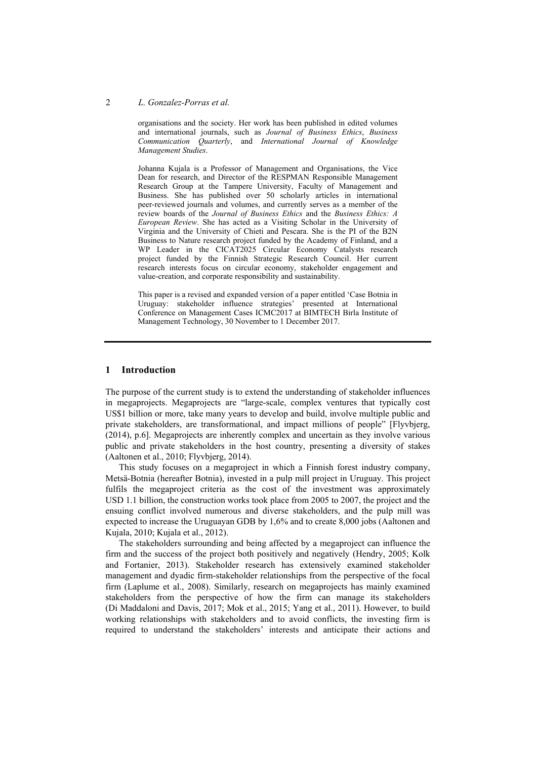organisations and the society. Her work has been published in edited volumes and international journals, such as *Journal of Business Ethics*, *Business Communication Quarterly*, and *International Journal of Knowledge Management Studies*.

Johanna Kujala is a Professor of Management and Organisations, the Vice Dean for research, and Director of the RESPMAN Responsible Management Research Group at the Tampere University, Faculty of Management and Business. She has published over 50 scholarly articles in international peer-reviewed journals and volumes, and currently serves as a member of the review boards of the *Journal of Business Ethics* and the *Business Ethics: A European Review*. She has acted as a Visiting Scholar in the University of Virginia and the University of Chieti and Pescara. She is the PI of the B2N Business to Nature research project funded by the Academy of Finland, and a WP Leader in the CICAT2025 Circular Economy Catalysts research project funded by the Finnish Strategic Research Council. Her current research interests focus on circular economy, stakeholder engagement and value-creation, and corporate responsibility and sustainability.

This paper is a revised and expanded version of a paper entitled 'Case Botnia in Uruguay: stakeholder influence strategies' presented at International Conference on Management Cases ICMC2017 at BIMTECH Birla Institute of Management Technology, 30 November to 1 December 2017.

## **1 Introduction**

The purpose of the current study is to extend the understanding of stakeholder influences in megaprojects. Megaprojects are "large-scale, complex ventures that typically cost US\$1 billion or more, take many years to develop and build, involve multiple public and private stakeholders, are transformational, and impact millions of people" [Flyvbjerg, (2014), p.6]. Megaprojects are inherently complex and uncertain as they involve various public and private stakeholders in the host country, presenting a diversity of stakes (Aaltonen et al., 2010; Flyvbjerg, 2014).

This study focuses on a megaproject in which a Finnish forest industry company, Metsä-Botnia (hereafter Botnia), invested in a pulp mill project in Uruguay. This project fulfils the megaproject criteria as the cost of the investment was approximately USD 1.1 billion, the construction works took place from 2005 to 2007, the project and the ensuing conflict involved numerous and diverse stakeholders, and the pulp mill was expected to increase the Uruguayan GDB by 1,6% and to create 8,000 jobs (Aaltonen and Kujala, 2010; Kujala et al., 2012).

The stakeholders surrounding and being affected by a megaproject can influence the firm and the success of the project both positively and negatively (Hendry, 2005; Kolk and Fortanier, 2013). Stakeholder research has extensively examined stakeholder management and dyadic firm-stakeholder relationships from the perspective of the focal firm (Laplume et al., 2008). Similarly, research on megaprojects has mainly examined stakeholders from the perspective of how the firm can manage its stakeholders (Di Maddaloni and Davis, 2017; Mok et al., 2015; Yang et al., 2011). However, to build working relationships with stakeholders and to avoid conflicts, the investing firm is required to understand the stakeholders' interests and anticipate their actions and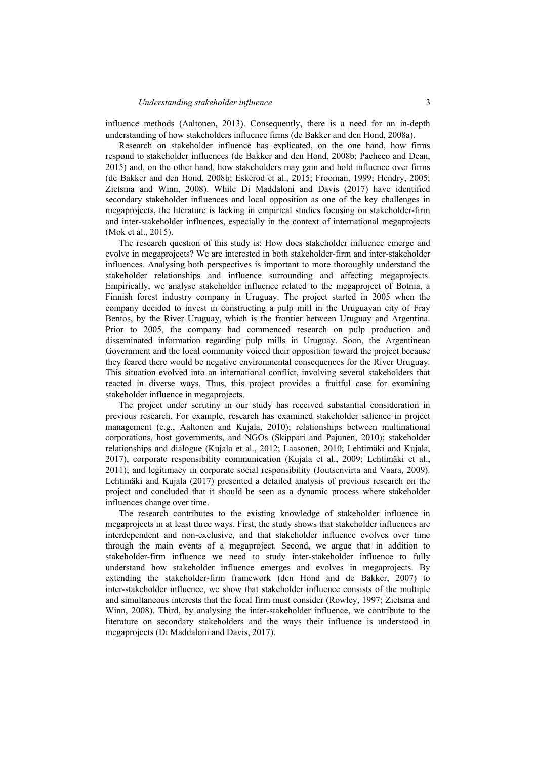influence methods (Aaltonen, 2013). Consequently, there is a need for an in-depth understanding of how stakeholders influence firms (de Bakker and den Hond, 2008a).

Research on stakeholder influence has explicated, on the one hand, how firms respond to stakeholder influences (de Bakker and den Hond, 2008b; Pacheco and Dean, 2015) and, on the other hand, how stakeholders may gain and hold influence over firms (de Bakker and den Hond, 2008b; Eskerod et al., 2015; Frooman, 1999; Hendry, 2005; Zietsma and Winn, 2008). While Di Maddaloni and Davis (2017) have identified secondary stakeholder influences and local opposition as one of the key challenges in megaprojects, the literature is lacking in empirical studies focusing on stakeholder-firm and inter-stakeholder influences, especially in the context of international megaprojects (Mok et al., 2015).

The research question of this study is: How does stakeholder influence emerge and evolve in megaprojects? We are interested in both stakeholder-firm and inter-stakeholder influences. Analysing both perspectives is important to more thoroughly understand the stakeholder relationships and influence surrounding and affecting megaprojects. Empirically, we analyse stakeholder influence related to the megaproject of Botnia, a Finnish forest industry company in Uruguay. The project started in 2005 when the company decided to invest in constructing a pulp mill in the Uruguayan city of Fray Bentos, by the River Uruguay, which is the frontier between Uruguay and Argentina. Prior to 2005, the company had commenced research on pulp production and disseminated information regarding pulp mills in Uruguay. Soon, the Argentinean Government and the local community voiced their opposition toward the project because they feared there would be negative environmental consequences for the River Uruguay. This situation evolved into an international conflict, involving several stakeholders that reacted in diverse ways. Thus, this project provides a fruitful case for examining stakeholder influence in megaprojects.

The project under scrutiny in our study has received substantial consideration in previous research. For example, research has examined stakeholder salience in project management (e.g., Aaltonen and Kujala, 2010); relationships between multinational corporations, host governments, and NGOs (Skippari and Pajunen, 2010); stakeholder relationships and dialogue (Kujala et al., 2012; Laasonen, 2010; Lehtimäki and Kujala, 2017), corporate responsibility communication (Kujala et al., 2009; Lehtimäki et al., 2011); and legitimacy in corporate social responsibility (Joutsenvirta and Vaara, 2009). Lehtimäki and Kujala (2017) presented a detailed analysis of previous research on the project and concluded that it should be seen as a dynamic process where stakeholder influences change over time.

The research contributes to the existing knowledge of stakeholder influence in megaprojects in at least three ways. First, the study shows that stakeholder influences are interdependent and non-exclusive, and that stakeholder influence evolves over time through the main events of a megaproject. Second, we argue that in addition to stakeholder-firm influence we need to study inter-stakeholder influence to fully understand how stakeholder influence emerges and evolves in megaprojects. By extending the stakeholder-firm framework (den Hond and de Bakker, 2007) to inter-stakeholder influence, we show that stakeholder influence consists of the multiple and simultaneous interests that the focal firm must consider (Rowley, 1997; Zietsma and Winn, 2008). Third, by analysing the inter-stakeholder influence, we contribute to the literature on secondary stakeholders and the ways their influence is understood in megaprojects (Di Maddaloni and Davis, 2017).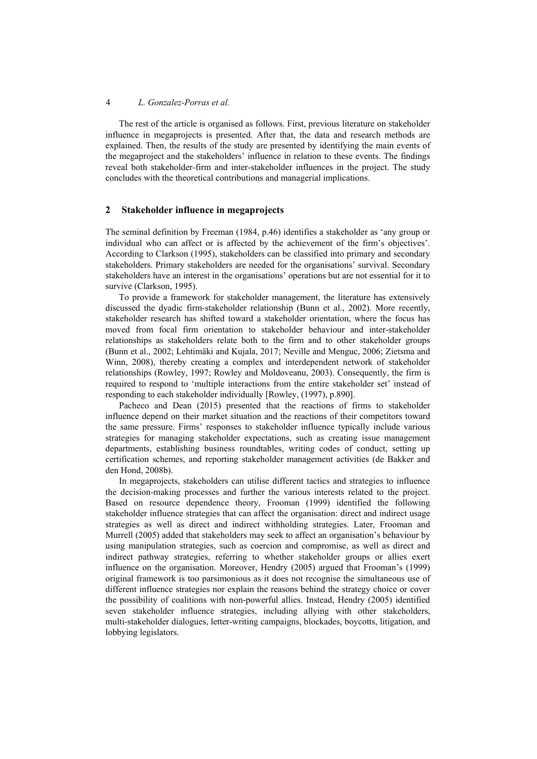The rest of the article is organised as follows. First, previous literature on stakeholder influence in megaprojects is presented. After that, the data and research methods are explained. Then, the results of the study are presented by identifying the main events of the megaproject and the stakeholders' influence in relation to these events. The findings reveal both stakeholder-firm and inter-stakeholder influences in the project. The study concludes with the theoretical contributions and managerial implications.

#### **2 Stakeholder influence in megaprojects**

The seminal definition by Freeman (1984, p.46) identifies a stakeholder as 'any group or individual who can affect or is affected by the achievement of the firm's objectives'. According to Clarkson (1995), stakeholders can be classified into primary and secondary stakeholders. Primary stakeholders are needed for the organisations' survival. Secondary stakeholders have an interest in the organisations' operations but are not essential for it to survive (Clarkson, 1995).

To provide a framework for stakeholder management, the literature has extensively discussed the dyadic firm-stakeholder relationship (Bunn et al., 2002). More recently, stakeholder research has shifted toward a stakeholder orientation, where the focus has moved from focal firm orientation to stakeholder behaviour and inter-stakeholder relationships as stakeholders relate both to the firm and to other stakeholder groups (Bunn et al., 2002; Lehtimäki and Kujala, 2017; Neville and Menguc, 2006; Zietsma and Winn, 2008), thereby creating a complex and interdependent network of stakeholder relationships (Rowley, 1997; Rowley and Moldoveanu, 2003). Consequently, the firm is required to respond to 'multiple interactions from the entire stakeholder set' instead of responding to each stakeholder individually [Rowley, (1997), p.890].

Pacheco and Dean (2015) presented that the reactions of firms to stakeholder influence depend on their market situation and the reactions of their competitors toward the same pressure. Firms' responses to stakeholder influence typically include various strategies for managing stakeholder expectations, such as creating issue management departments, establishing business roundtables, writing codes of conduct, setting up certification schemes, and reporting stakeholder management activities (de Bakker and den Hond, 2008b).

In megaprojects, stakeholders can utilise different tactics and strategies to influence the decision-making processes and further the various interests related to the project. Based on resource dependence theory, Frooman (1999) identified the following stakeholder influence strategies that can affect the organisation: direct and indirect usage strategies as well as direct and indirect withholding strategies. Later, Frooman and Murrell (2005) added that stakeholders may seek to affect an organisation's behaviour by using manipulation strategies, such as coercion and compromise, as well as direct and indirect pathway strategies, referring to whether stakeholder groups or allies exert influence on the organisation. Moreover, Hendry (2005) argued that Frooman's (1999) original framework is too parsimonious as it does not recognise the simultaneous use of different influence strategies nor explain the reasons behind the strategy choice or cover the possibility of coalitions with non-powerful allies. Instead, Hendry (2005) identified seven stakeholder influence strategies, including allying with other stakeholders, multi-stakeholder dialogues, letter-writing campaigns, blockades, boycotts, litigation, and lobbying legislators.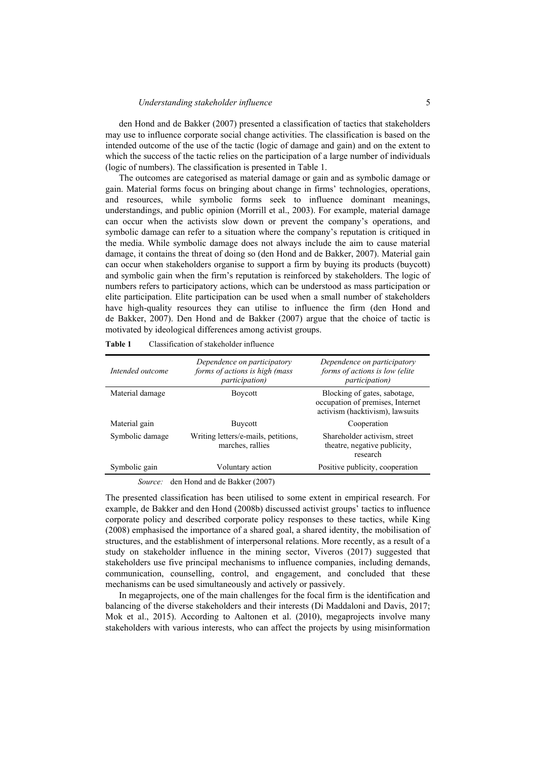den Hond and de Bakker (2007) presented a classification of tactics that stakeholders may use to influence corporate social change activities. The classification is based on the intended outcome of the use of the tactic (logic of damage and gain) and on the extent to which the success of the tactic relies on the participation of a large number of individuals (logic of numbers). The classification is presented in Table 1.

The outcomes are categorised as material damage or gain and as symbolic damage or gain. Material forms focus on bringing about change in firms' technologies, operations, and resources, while symbolic forms seek to influence dominant meanings, understandings, and public opinion (Morrill et al., 2003). For example, material damage can occur when the activists slow down or prevent the company's operations, and symbolic damage can refer to a situation where the company's reputation is critiqued in the media. While symbolic damage does not always include the aim to cause material damage, it contains the threat of doing so (den Hond and de Bakker, 2007). Material gain can occur when stakeholders organise to support a firm by buying its products (buycott) and symbolic gain when the firm's reputation is reinforced by stakeholders. The logic of numbers refers to participatory actions, which can be understood as mass participation or elite participation. Elite participation can be used when a small number of stakeholders have high-quality resources they can utilise to influence the firm (den Hond and de Bakker, 2007). Den Hond and de Bakker (2007) argue that the choice of tactic is motivated by ideological differences among activist groups.

**Table 1** Classification of stakeholder influence

| Intended outcome | Dependence on participatory<br>forms of actions is high (mass<br><i>participation</i> ) | Dependence on participatory<br>forms of actions is low (elite<br><i>participation</i> )             |
|------------------|-----------------------------------------------------------------------------------------|-----------------------------------------------------------------------------------------------------|
| Material damage  | Boycott                                                                                 | Blocking of gates, sabotage,<br>occupation of premises, Internet<br>activism (hacktivism), lawsuits |
| Material gain    | Buycott                                                                                 | Cooperation                                                                                         |
| Symbolic damage  | Writing letters/e-mails, petitions,<br>marches, rallies                                 | Shareholder activism, street<br>theatre, negative publicity,<br>research                            |
| Symbolic gain    | Voluntary action                                                                        | Positive publicity, cooperation                                                                     |

*Source:* den Hond and de Bakker (2007)

The presented classification has been utilised to some extent in empirical research. For example, de Bakker and den Hond (2008b) discussed activist groups' tactics to influence corporate policy and described corporate policy responses to these tactics, while King (2008) emphasised the importance of a shared goal, a shared identity, the mobilisation of structures, and the establishment of interpersonal relations. More recently, as a result of a study on stakeholder influence in the mining sector, Viveros (2017) suggested that stakeholders use five principal mechanisms to influence companies, including demands, communication, counselling, control, and engagement, and concluded that these mechanisms can be used simultaneously and actively or passively.

In megaprojects, one of the main challenges for the focal firm is the identification and balancing of the diverse stakeholders and their interests (Di Maddaloni and Davis, 2017; Mok et al., 2015). According to Aaltonen et al. (2010), megaprojects involve many stakeholders with various interests, who can affect the projects by using misinformation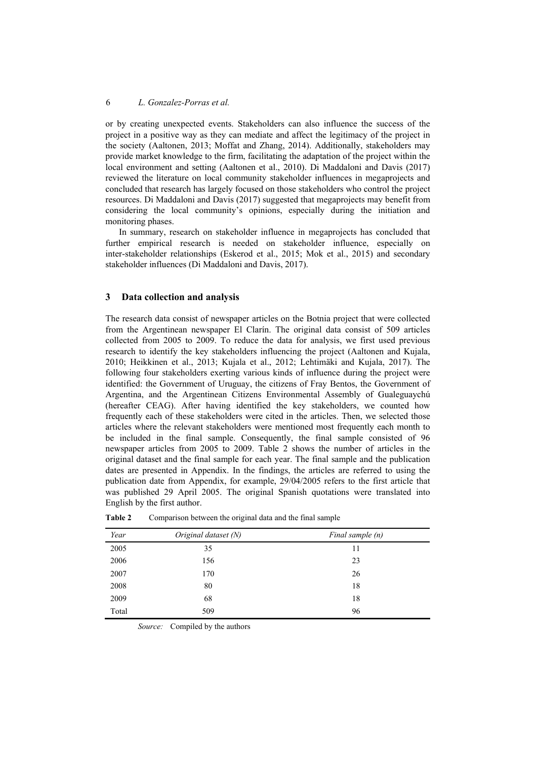or by creating unexpected events. Stakeholders can also influence the success of the project in a positive way as they can mediate and affect the legitimacy of the project in the society (Aaltonen, 2013; Moffat and Zhang, 2014). Additionally, stakeholders may provide market knowledge to the firm, facilitating the adaptation of the project within the local environment and setting (Aaltonen et al., 2010). Di Maddaloni and Davis (2017) reviewed the literature on local community stakeholder influences in megaprojects and concluded that research has largely focused on those stakeholders who control the project resources. Di Maddaloni and Davis (2017) suggested that megaprojects may benefit from considering the local community's opinions, especially during the initiation and monitoring phases.

In summary, research on stakeholder influence in megaprojects has concluded that further empirical research is needed on stakeholder influence, especially on inter-stakeholder relationships (Eskerod et al., 2015; Mok et al., 2015) and secondary stakeholder influences (Di Maddaloni and Davis, 2017).

#### **3 Data collection and analysis**

The research data consist of newspaper articles on the Botnia project that were collected from the Argentinean newspaper El Clarín. The original data consist of 509 articles collected from 2005 to 2009. To reduce the data for analysis, we first used previous research to identify the key stakeholders influencing the project (Aaltonen and Kujala, 2010; Heikkinen et al., 2013; Kujala et al., 2012; Lehtimäki and Kujala, 2017). The following four stakeholders exerting various kinds of influence during the project were identified: the Government of Uruguay, the citizens of Fray Bentos, the Government of Argentina, and the Argentinean Citizens Environmental Assembly of Gualeguaychú (hereafter CEAG). After having identified the key stakeholders, we counted how frequently each of these stakeholders were cited in the articles. Then, we selected those articles where the relevant stakeholders were mentioned most frequently each month to be included in the final sample. Consequently, the final sample consisted of 96 newspaper articles from 2005 to 2009. Table 2 shows the number of articles in the original dataset and the final sample for each year. The final sample and the publication dates are presented in Appendix. In the findings, the articles are referred to using the publication date from Appendix, for example, 29/04/2005 refers to the first article that was published 29 April 2005. The original Spanish quotations were translated into English by the first author.

| Year  | Original dataset (N) | Final sample (n) |
|-------|----------------------|------------------|
| 2005  | 35                   | 11               |
| 2006  | 156                  | 23               |
| 2007  | 170                  | 26               |
| 2008  | 80                   | 18               |
| 2009  | 68                   | 18               |
| Total | 509                  | 96               |

**Table 2** Comparison between the original data and the final sample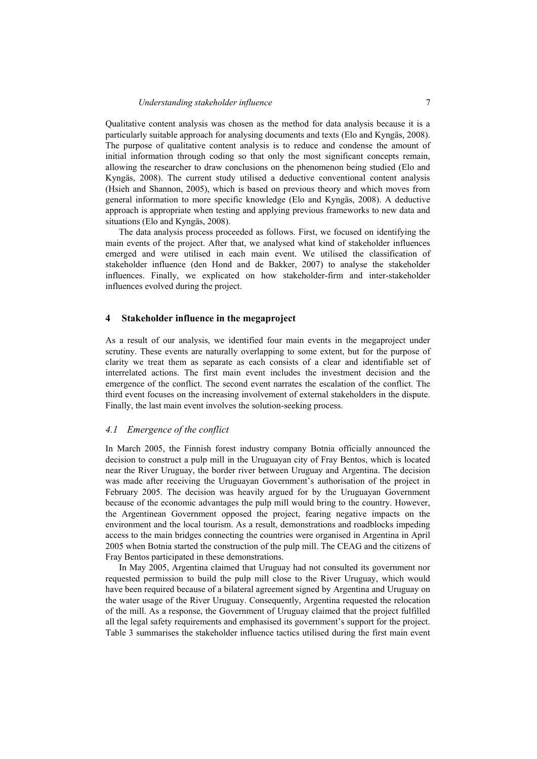Qualitative content analysis was chosen as the method for data analysis because it is a particularly suitable approach for analysing documents and texts (Elo and Kyngäs, 2008). The purpose of qualitative content analysis is to reduce and condense the amount of initial information through coding so that only the most significant concepts remain, allowing the researcher to draw conclusions on the phenomenon being studied (Elo and Kyngäs, 2008). The current study utilised a deductive conventional content analysis (Hsieh and Shannon, 2005), which is based on previous theory and which moves from general information to more specific knowledge (Elo and Kyngäs, 2008). A deductive approach is appropriate when testing and applying previous frameworks to new data and situations (Elo and Kyngäs, 2008).

The data analysis process proceeded as follows. First, we focused on identifying the main events of the project. After that, we analysed what kind of stakeholder influences emerged and were utilised in each main event. We utilised the classification of stakeholder influence (den Hond and de Bakker, 2007) to analyse the stakeholder influences. Finally, we explicated on how stakeholder-firm and inter-stakeholder influences evolved during the project.

#### **4 Stakeholder influence in the megaproject**

As a result of our analysis, we identified four main events in the megaproject under scrutiny. These events are naturally overlapping to some extent, but for the purpose of clarity we treat them as separate as each consists of a clear and identifiable set of interrelated actions. The first main event includes the investment decision and the emergence of the conflict. The second event narrates the escalation of the conflict. The third event focuses on the increasing involvement of external stakeholders in the dispute. Finally, the last main event involves the solution-seeking process.

## *4.1 Emergence of the conflict*

In March 2005, the Finnish forest industry company Botnia officially announced the decision to construct a pulp mill in the Uruguayan city of Fray Bentos, which is located near the River Uruguay, the border river between Uruguay and Argentina. The decision was made after receiving the Uruguayan Government's authorisation of the project in February 2005. The decision was heavily argued for by the Uruguayan Government because of the economic advantages the pulp mill would bring to the country. However, the Argentinean Government opposed the project, fearing negative impacts on the environment and the local tourism. As a result, demonstrations and roadblocks impeding access to the main bridges connecting the countries were organised in Argentina in April 2005 when Botnia started the construction of the pulp mill. The CEAG and the citizens of Fray Bentos participated in these demonstrations.

In May 2005, Argentina claimed that Uruguay had not consulted its government nor requested permission to build the pulp mill close to the River Uruguay, which would have been required because of a bilateral agreement signed by Argentina and Uruguay on the water usage of the River Uruguay. Consequently, Argentina requested the relocation of the mill. As a response, the Government of Uruguay claimed that the project fulfilled all the legal safety requirements and emphasised its government's support for the project. Table 3 summarises the stakeholder influence tactics utilised during the first main event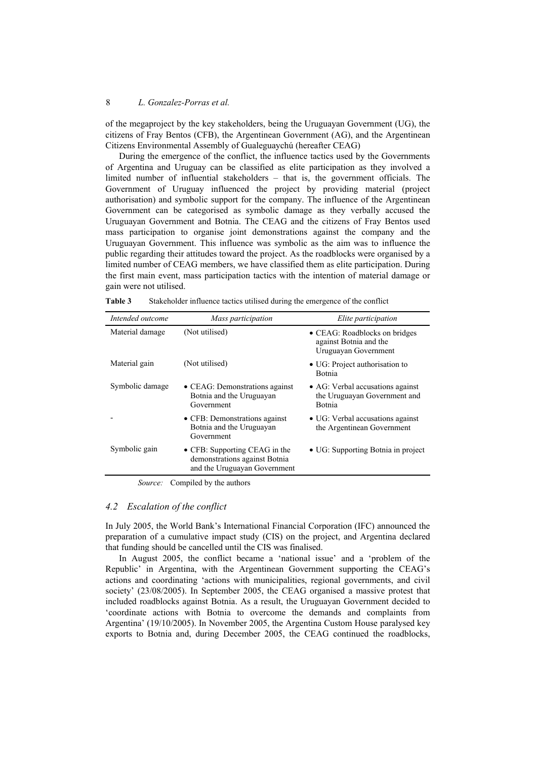of the megaproject by the key stakeholders, being the Uruguayan Government (UG), the citizens of Fray Bentos (CFB), the Argentinean Government (AG), and the Argentinean Citizens Environmental Assembly of Gualeguaychú (hereafter CEAG)

During the emergence of the conflict, the influence tactics used by the Governments of Argentina and Uruguay can be classified as elite participation as they involved a limited number of influential stakeholders – that is, the government officials. The Government of Uruguay influenced the project by providing material (project authorisation) and symbolic support for the company. The influence of the Argentinean Government can be categorised as symbolic damage as they verbally accused the Uruguayan Government and Botnia. The CEAG and the citizens of Fray Bentos used mass participation to organise joint demonstrations against the company and the Uruguayan Government. This influence was symbolic as the aim was to influence the public regarding their attitudes toward the project. As the roadblocks were organised by a limited number of CEAG members, we have classified them as elite participation. During the first main event, mass participation tactics with the intention of material damage or gain were not utilised.

**Table 3** Stakeholder influence tactics utilised during the emergence of the conflict

| Intended outcome | Mass participation                                                                             | Elite participation                                                               |
|------------------|------------------------------------------------------------------------------------------------|-----------------------------------------------------------------------------------|
| Material damage  | (Not utilised)                                                                                 | • CEAG: Roadblocks on bridges<br>against Botnia and the<br>Uruguayan Government   |
| Material gain    | (Not utilised)                                                                                 | • UG: Project authorisation to<br><b>Botnia</b>                                   |
| Symbolic damage  | • CEAG: Demonstrations against<br>Botnia and the Uruguayan<br>Government                       | • AG: Verbal accusations against<br>the Uruguayan Government and<br><b>Botnia</b> |
|                  | • CFB: Demonstrations against<br>Botnia and the Uruguayan<br>Government                        | • UG: Verbal accusations against<br>the Argentinean Government                    |
| Symbolic gain    | • CFB: Supporting CEAG in the<br>demonstrations against Botnia<br>and the Uruguayan Government | • UG: Supporting Botnia in project                                                |

*Source:* Compiled by the authors

## *4.2 Escalation of the conflict*

In July 2005, the World Bank's International Financial Corporation (IFC) announced the preparation of a cumulative impact study (CIS) on the project, and Argentina declared that funding should be cancelled until the CIS was finalised.

In August 2005, the conflict became a 'national issue' and a 'problem of the Republic' in Argentina, with the Argentinean Government supporting the CEAG's actions and coordinating 'actions with municipalities, regional governments, and civil society' (23/08/2005). In September 2005, the CEAG organised a massive protest that included roadblocks against Botnia. As a result, the Uruguayan Government decided to 'coordinate actions with Botnia to overcome the demands and complaints from Argentina' (19/10/2005). In November 2005, the Argentina Custom House paralysed key exports to Botnia and, during December 2005, the CEAG continued the roadblocks,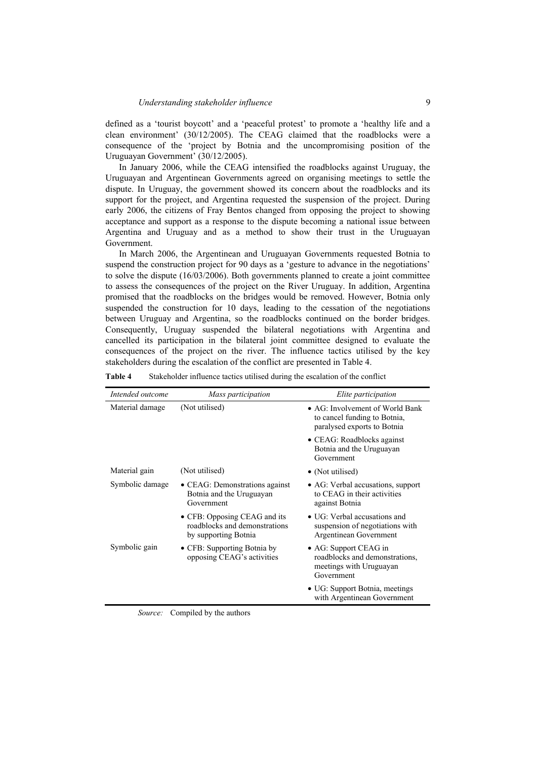defined as a 'tourist boycott' and a 'peaceful protest' to promote a 'healthy life and a clean environment' (30/12/2005). The CEAG claimed that the roadblocks were a consequence of the 'project by Botnia and the uncompromising position of the Uruguayan Government' (30/12/2005).

In January 2006, while the CEAG intensified the roadblocks against Uruguay, the Uruguayan and Argentinean Governments agreed on organising meetings to settle the dispute. In Uruguay, the government showed its concern about the roadblocks and its support for the project, and Argentina requested the suspension of the project. During early 2006, the citizens of Fray Bentos changed from opposing the project to showing acceptance and support as a response to the dispute becoming a national issue between Argentina and Uruguay and as a method to show their trust in the Uruguayan Government.

In March 2006, the Argentinean and Uruguayan Governments requested Botnia to suspend the construction project for 90 days as a 'gesture to advance in the negotiations' to solve the dispute (16/03/2006). Both governments planned to create a joint committee to assess the consequences of the project on the River Uruguay. In addition, Argentina promised that the roadblocks on the bridges would be removed. However, Botnia only suspended the construction for 10 days, leading to the cessation of the negotiations between Uruguay and Argentina, so the roadblocks continued on the border bridges. Consequently, Uruguay suspended the bilateral negotiations with Argentina and cancelled its participation in the bilateral joint committee designed to evaluate the consequences of the project on the river. The influence tactics utilised by the key stakeholders during the escalation of the conflict are presented in Table 4.

| Intended outcome | Mass participation                                                                    | Elite participation                                                                              |
|------------------|---------------------------------------------------------------------------------------|--------------------------------------------------------------------------------------------------|
| Material damage  | (Not utilised)                                                                        | • AG: Involvement of World Bank<br>to cancel funding to Botnia,<br>paralysed exports to Botnia   |
|                  |                                                                                       | $\bullet$ CEAG: Roadblocks against<br>Botnia and the Uruguayan<br>Government                     |
| Material gain    | (Not utilised)                                                                        | • (Not utilised)                                                                                 |
| Symbolic damage  | • CEAG: Demonstrations against<br>Botnia and the Uruguayan<br>Government              | • AG: Verbal accusations, support<br>to CEAG in their activities<br>against Botnia               |
|                  | • CFB: Opposing CEAG and its<br>roadblocks and demonstrations<br>by supporting Botnia | • UG: Verbal accusations and<br>suspension of negotiations with<br>Argentinean Government        |
| Symbolic gain    | • CFB: Supporting Botnia by<br>opposing CEAG's activities                             | • AG: Support CEAG in<br>roadblocks and demonstrations,<br>meetings with Uruguayan<br>Government |
|                  |                                                                                       | • UG: Support Botnia, meetings<br>with Argentinean Government                                    |

**Table 4** Stakeholder influence tactics utilised during the escalation of the conflict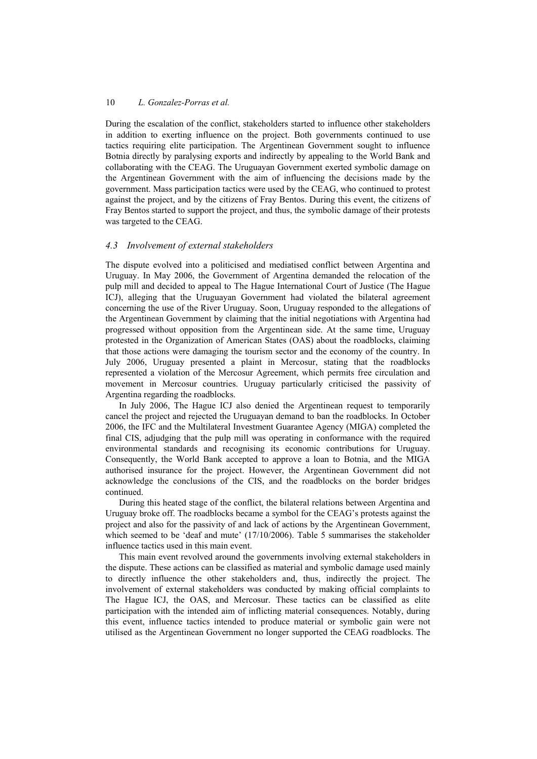During the escalation of the conflict, stakeholders started to influence other stakeholders in addition to exerting influence on the project. Both governments continued to use tactics requiring elite participation. The Argentinean Government sought to influence Botnia directly by paralysing exports and indirectly by appealing to the World Bank and collaborating with the CEAG. The Uruguayan Government exerted symbolic damage on the Argentinean Government with the aim of influencing the decisions made by the government. Mass participation tactics were used by the CEAG, who continued to protest against the project, and by the citizens of Fray Bentos. During this event, the citizens of Fray Bentos started to support the project, and thus, the symbolic damage of their protests was targeted to the CEAG.

#### *4.3 Involvement of external stakeholders*

The dispute evolved into a politicised and mediatised conflict between Argentina and Uruguay. In May 2006, the Government of Argentina demanded the relocation of the pulp mill and decided to appeal to The Hague International Court of Justice (The Hague ICJ), alleging that the Uruguayan Government had violated the bilateral agreement concerning the use of the River Uruguay. Soon, Uruguay responded to the allegations of the Argentinean Government by claiming that the initial negotiations with Argentina had progressed without opposition from the Argentinean side. At the same time, Uruguay protested in the Organization of American States (OAS) about the roadblocks, claiming that those actions were damaging the tourism sector and the economy of the country. In July 2006, Uruguay presented a plaint in Mercosur, stating that the roadblocks represented a violation of the Mercosur Agreement, which permits free circulation and movement in Mercosur countries. Uruguay particularly criticised the passivity of Argentina regarding the roadblocks.

In July 2006, The Hague ICJ also denied the Argentinean request to temporarily cancel the project and rejected the Uruguayan demand to ban the roadblocks. In October 2006, the IFC and the Multilateral Investment Guarantee Agency (MIGA) completed the final CIS, adjudging that the pulp mill was operating in conformance with the required environmental standards and recognising its economic contributions for Uruguay. Consequently, the World Bank accepted to approve a loan to Botnia, and the MIGA authorised insurance for the project. However, the Argentinean Government did not acknowledge the conclusions of the CIS, and the roadblocks on the border bridges continued.

During this heated stage of the conflict, the bilateral relations between Argentina and Uruguay broke off. The roadblocks became a symbol for the CEAG's protests against the project and also for the passivity of and lack of actions by the Argentinean Government, which seemed to be 'deaf and mute' (17/10/2006). Table 5 summarises the stakeholder influence tactics used in this main event.

This main event revolved around the governments involving external stakeholders in the dispute. These actions can be classified as material and symbolic damage used mainly to directly influence the other stakeholders and, thus, indirectly the project. The involvement of external stakeholders was conducted by making official complaints to The Hague ICJ, the OAS, and Mercosur. These tactics can be classified as elite participation with the intended aim of inflicting material consequences. Notably, during this event, influence tactics intended to produce material or symbolic gain were not utilised as the Argentinean Government no longer supported the CEAG roadblocks. The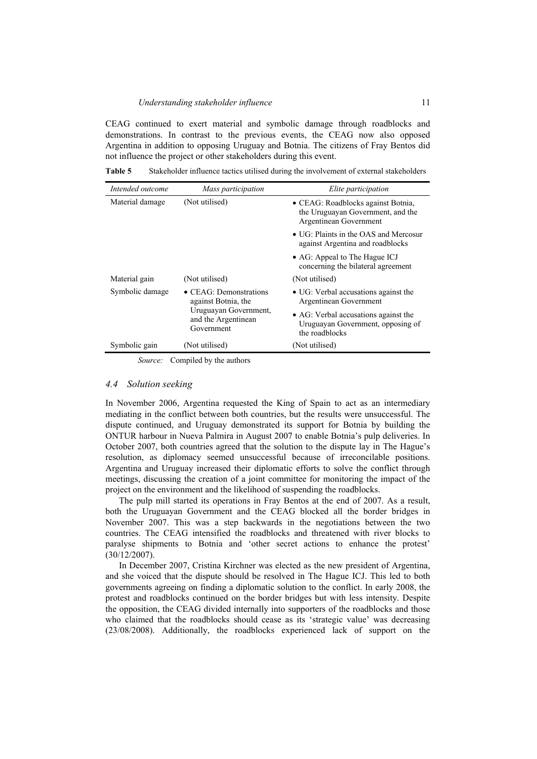CEAG continued to exert material and symbolic damage through roadblocks and demonstrations. In contrast to the previous events, the CEAG now also opposed Argentina in addition to opposing Uruguay and Botnia. The citizens of Fray Bentos did not influence the project or other stakeholders during this event.

**Table 5** Stakeholder influence tactics utilised during the involvement of external stakeholders

| Intended outcome | Mass participation                                         | Elite participation                                                                               |
|------------------|------------------------------------------------------------|---------------------------------------------------------------------------------------------------|
| Material damage  | (Not utilised)                                             | • CEAG: Roadblocks against Botnia,<br>the Uruguayan Government, and the<br>Argentinean Government |
|                  |                                                            | • UG: Plaints in the OAS and Mercosur<br>against Argentina and roadblocks                         |
|                  |                                                            | • AG: Appeal to The Hague ICJ<br>concerning the bilateral agreement                               |
| Material gain    | (Not utilised)                                             | (Not utilised)                                                                                    |
| Symbolic damage  | $\bullet$ CEAG: Demonstrations<br>against Botnia, the      | • UG: Verbal accusations against the<br>Argentinean Government                                    |
|                  | Uruguayan Government,<br>and the Argentinean<br>Government | • AG: Verbal accusations against the<br>Uruguayan Government, opposing of<br>the roadblocks       |
| Symbolic gain    | (Not utilised)                                             | (Not utilised)                                                                                    |

*Source:* Compiled by the authors

#### *4.4 Solution seeking*

In November 2006, Argentina requested the King of Spain to act as an intermediary mediating in the conflict between both countries, but the results were unsuccessful. The dispute continued, and Uruguay demonstrated its support for Botnia by building the ONTUR harbour in Nueva Palmira in August 2007 to enable Botnia's pulp deliveries. In October 2007, both countries agreed that the solution to the dispute lay in The Hague's resolution, as diplomacy seemed unsuccessful because of irreconcilable positions. Argentina and Uruguay increased their diplomatic efforts to solve the conflict through meetings, discussing the creation of a joint committee for monitoring the impact of the project on the environment and the likelihood of suspending the roadblocks.

The pulp mill started its operations in Fray Bentos at the end of 2007. As a result, both the Uruguayan Government and the CEAG blocked all the border bridges in November 2007. This was a step backwards in the negotiations between the two countries. The CEAG intensified the roadblocks and threatened with river blocks to paralyse shipments to Botnia and 'other secret actions to enhance the protest' (30/12/2007).

In December 2007, Cristina Kirchner was elected as the new president of Argentina, and she voiced that the dispute should be resolved in The Hague ICJ. This led to both governments agreeing on finding a diplomatic solution to the conflict. In early 2008, the protest and roadblocks continued on the border bridges but with less intensity. Despite the opposition, the CEAG divided internally into supporters of the roadblocks and those who claimed that the roadblocks should cease as its 'strategic value' was decreasing (23/08/2008). Additionally, the roadblocks experienced lack of support on the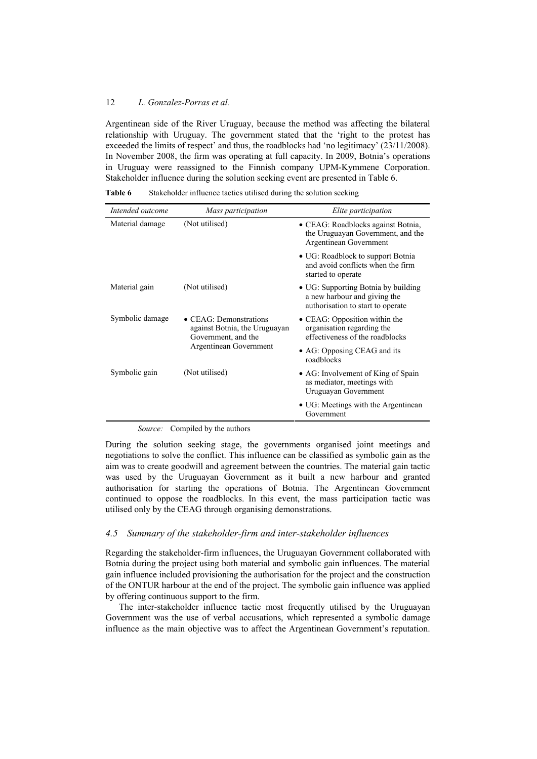Argentinean side of the River Uruguay, because the method was affecting the bilateral relationship with Uruguay. The government stated that the 'right to the protest has exceeded the limits of respect' and thus, the roadblocks had 'no legitimacy' (23/11/2008). In November 2008, the firm was operating at full capacity. In 2009, Botnia's operations in Uruguay were reassigned to the Finnish company UPM-Kymmene Corporation. Stakeholder influence during the solution seeking event are presented in Table 6.

**Table 6** Stakeholder influence tactics utilised during the solution seeking

| Intended outcome | Mass participation                                                                     | Elite participation                                                                                      |
|------------------|----------------------------------------------------------------------------------------|----------------------------------------------------------------------------------------------------------|
| Material damage  | (Not utilised)                                                                         | • CEAG: Roadblocks against Botnia,<br>the Uruguayan Government, and the<br>Argentinean Government        |
|                  |                                                                                        | • UG: Roadblock to support Botnia<br>and avoid conflicts when the firm<br>started to operate             |
| Material gain    | (Not utilised)                                                                         | • UG: Supporting Botnia by building<br>a new harbour and giving the<br>authorisation to start to operate |
| Symbolic damage  | $\bullet$ CEAG: Demonstrations<br>against Botnia, the Uruguayan<br>Government, and the | • CEAG: Opposition within the<br>organisation regarding the<br>effectiveness of the roadblocks           |
|                  | Argentinean Government                                                                 | • AG: Opposing CEAG and its<br>roadblocks                                                                |
| Symbolic gain    | (Not utilised)                                                                         | • AG: Involvement of King of Spain<br>as mediator, meetings with<br>Uruguayan Government                 |
|                  |                                                                                        | • UG: Meetings with the Argentinean<br>Government                                                        |

*Source:* Compiled by the authors

During the solution seeking stage, the governments organised joint meetings and negotiations to solve the conflict. This influence can be classified as symbolic gain as the aim was to create goodwill and agreement between the countries. The material gain tactic was used by the Uruguayan Government as it built a new harbour and granted authorisation for starting the operations of Botnia. The Argentinean Government continued to oppose the roadblocks. In this event, the mass participation tactic was utilised only by the CEAG through organising demonstrations.

## *4.5 Summary of the stakeholder-firm and inter-stakeholder influences*

Regarding the stakeholder-firm influences, the Uruguayan Government collaborated with Botnia during the project using both material and symbolic gain influences. The material gain influence included provisioning the authorisation for the project and the construction of the ONTUR harbour at the end of the project. The symbolic gain influence was applied by offering continuous support to the firm.

The inter-stakeholder influence tactic most frequently utilised by the Uruguayan Government was the use of verbal accusations, which represented a symbolic damage influence as the main objective was to affect the Argentinean Government's reputation.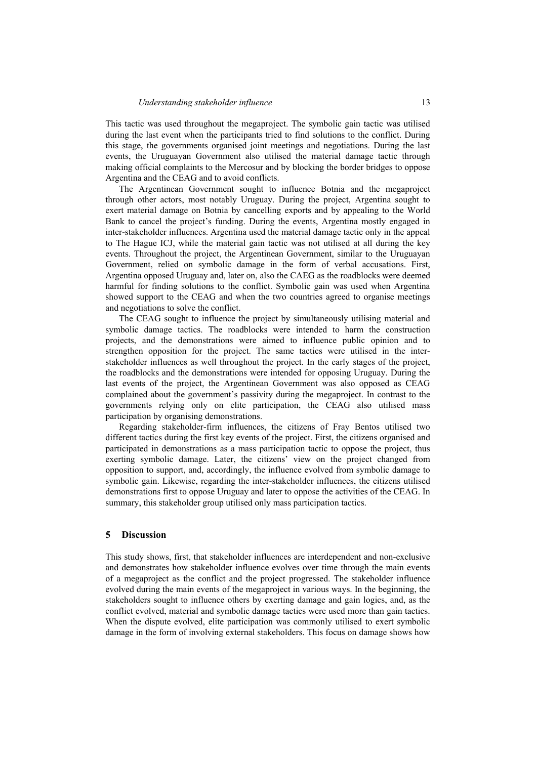This tactic was used throughout the megaproject. The symbolic gain tactic was utilised during the last event when the participants tried to find solutions to the conflict. During this stage, the governments organised joint meetings and negotiations. During the last events, the Uruguayan Government also utilised the material damage tactic through making official complaints to the Mercosur and by blocking the border bridges to oppose Argentina and the CEAG and to avoid conflicts.

The Argentinean Government sought to influence Botnia and the megaproject through other actors, most notably Uruguay. During the project, Argentina sought to exert material damage on Botnia by cancelling exports and by appealing to the World Bank to cancel the project's funding. During the events, Argentina mostly engaged in inter-stakeholder influences. Argentina used the material damage tactic only in the appeal to The Hague ICJ, while the material gain tactic was not utilised at all during the key events. Throughout the project, the Argentinean Government, similar to the Uruguayan Government, relied on symbolic damage in the form of verbal accusations. First, Argentina opposed Uruguay and, later on, also the CAEG as the roadblocks were deemed harmful for finding solutions to the conflict. Symbolic gain was used when Argentina showed support to the CEAG and when the two countries agreed to organise meetings and negotiations to solve the conflict.

The CEAG sought to influence the project by simultaneously utilising material and symbolic damage tactics. The roadblocks were intended to harm the construction projects, and the demonstrations were aimed to influence public opinion and to strengthen opposition for the project. The same tactics were utilised in the interstakeholder influences as well throughout the project. In the early stages of the project, the roadblocks and the demonstrations were intended for opposing Uruguay. During the last events of the project, the Argentinean Government was also opposed as CEAG complained about the government's passivity during the megaproject. In contrast to the governments relying only on elite participation, the CEAG also utilised mass participation by organising demonstrations.

Regarding stakeholder-firm influences, the citizens of Fray Bentos utilised two different tactics during the first key events of the project. First, the citizens organised and participated in demonstrations as a mass participation tactic to oppose the project, thus exerting symbolic damage. Later, the citizens' view on the project changed from opposition to support, and, accordingly, the influence evolved from symbolic damage to symbolic gain. Likewise, regarding the inter-stakeholder influences, the citizens utilised demonstrations first to oppose Uruguay and later to oppose the activities of the CEAG. In summary, this stakeholder group utilised only mass participation tactics.

#### **5 Discussion**

This study shows, first, that stakeholder influences are interdependent and non-exclusive and demonstrates how stakeholder influence evolves over time through the main events of a megaproject as the conflict and the project progressed. The stakeholder influence evolved during the main events of the megaproject in various ways. In the beginning, the stakeholders sought to influence others by exerting damage and gain logics, and, as the conflict evolved, material and symbolic damage tactics were used more than gain tactics. When the dispute evolved, elite participation was commonly utilised to exert symbolic damage in the form of involving external stakeholders. This focus on damage shows how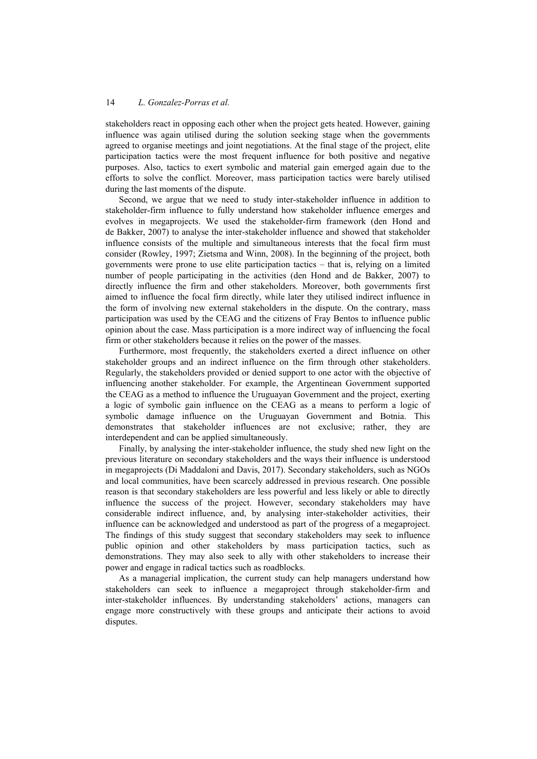stakeholders react in opposing each other when the project gets heated. However, gaining influence was again utilised during the solution seeking stage when the governments agreed to organise meetings and joint negotiations. At the final stage of the project, elite participation tactics were the most frequent influence for both positive and negative purposes. Also, tactics to exert symbolic and material gain emerged again due to the efforts to solve the conflict. Moreover, mass participation tactics were barely utilised during the last moments of the dispute.

Second, we argue that we need to study inter-stakeholder influence in addition to stakeholder-firm influence to fully understand how stakeholder influence emerges and evolves in megaprojects. We used the stakeholder-firm framework (den Hond and de Bakker, 2007) to analyse the inter-stakeholder influence and showed that stakeholder influence consists of the multiple and simultaneous interests that the focal firm must consider (Rowley, 1997; Zietsma and Winn, 2008). In the beginning of the project, both governments were prone to use elite participation tactics – that is, relying on a limited number of people participating in the activities (den Hond and de Bakker, 2007) to directly influence the firm and other stakeholders. Moreover, both governments first aimed to influence the focal firm directly, while later they utilised indirect influence in the form of involving new external stakeholders in the dispute. On the contrary, mass participation was used by the CEAG and the citizens of Fray Bentos to influence public opinion about the case. Mass participation is a more indirect way of influencing the focal firm or other stakeholders because it relies on the power of the masses.

Furthermore, most frequently, the stakeholders exerted a direct influence on other stakeholder groups and an indirect influence on the firm through other stakeholders. Regularly, the stakeholders provided or denied support to one actor with the objective of influencing another stakeholder. For example, the Argentinean Government supported the CEAG as a method to influence the Uruguayan Government and the project, exerting a logic of symbolic gain influence on the CEAG as a means to perform a logic of symbolic damage influence on the Uruguayan Government and Botnia. This demonstrates that stakeholder influences are not exclusive; rather, they are interdependent and can be applied simultaneously.

Finally, by analysing the inter-stakeholder influence, the study shed new light on the previous literature on secondary stakeholders and the ways their influence is understood in megaprojects (Di Maddaloni and Davis, 2017). Secondary stakeholders, such as NGOs and local communities, have been scarcely addressed in previous research. One possible reason is that secondary stakeholders are less powerful and less likely or able to directly influence the success of the project. However, secondary stakeholders may have considerable indirect influence, and, by analysing inter-stakeholder activities, their influence can be acknowledged and understood as part of the progress of a megaproject. The findings of this study suggest that secondary stakeholders may seek to influence public opinion and other stakeholders by mass participation tactics, such as demonstrations. They may also seek to ally with other stakeholders to increase their power and engage in radical tactics such as roadblocks.

As a managerial implication, the current study can help managers understand how stakeholders can seek to influence a megaproject through stakeholder-firm and inter-stakeholder influences. By understanding stakeholders' actions, managers can engage more constructively with these groups and anticipate their actions to avoid disputes.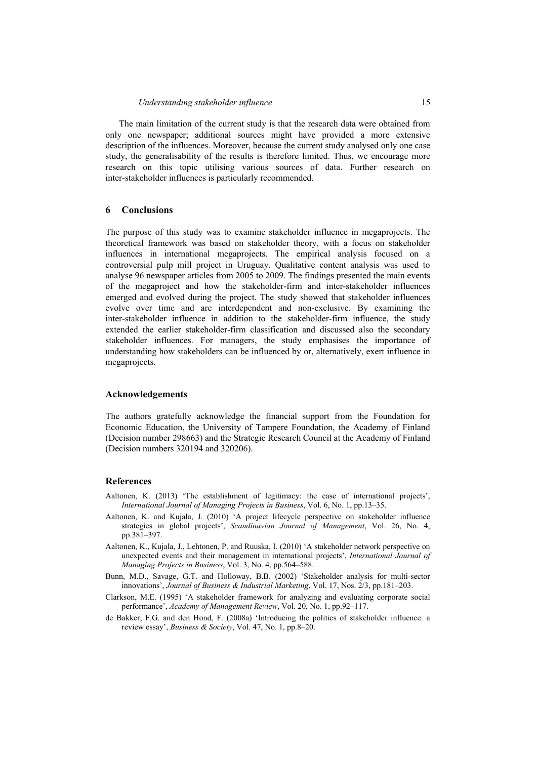The main limitation of the current study is that the research data were obtained from only one newspaper; additional sources might have provided a more extensive description of the influences. Moreover, because the current study analysed only one case study, the generalisability of the results is therefore limited. Thus, we encourage more research on this topic utilising various sources of data. Further research on inter-stakeholder influences is particularly recommended.

#### **6 Conclusions**

The purpose of this study was to examine stakeholder influence in megaprojects. The theoretical framework was based on stakeholder theory, with a focus on stakeholder influences in international megaprojects. The empirical analysis focused on a controversial pulp mill project in Uruguay. Qualitative content analysis was used to analyse 96 newspaper articles from 2005 to 2009. The findings presented the main events of the megaproject and how the stakeholder-firm and inter-stakeholder influences emerged and evolved during the project. The study showed that stakeholder influences evolve over time and are interdependent and non-exclusive. By examining the inter-stakeholder influence in addition to the stakeholder-firm influence, the study extended the earlier stakeholder-firm classification and discussed also the secondary stakeholder influences. For managers, the study emphasises the importance of understanding how stakeholders can be influenced by or, alternatively, exert influence in megaprojects.

#### **Acknowledgements**

The authors gratefully acknowledge the financial support from the Foundation for Economic Education, the University of Tampere Foundation, the Academy of Finland (Decision number 298663) and the Strategic Research Council at the Academy of Finland (Decision numbers 320194 and 320206).

#### **References**

- Aaltonen, K. (2013) 'The establishment of legitimacy: the case of international projects', *International Journal of Managing Projects in Business*, Vol. 6, No. 1, pp.13–35.
- Aaltonen, K. and Kujala, J. (2010) 'A project lifecycle perspective on stakeholder influence strategies in global projects', *Scandinavian Journal of Management*, Vol. 26, No. 4, pp.381–397.
- Aaltonen, K., Kujala, J., Lehtonen, P. and Ruuska, I. (2010) 'A stakeholder network perspective on unexpected events and their management in international projects', *International Journal of Managing Projects in Business*, Vol. 3, No. 4, pp.564–588.
- Bunn, M.D., Savage, G.T. and Holloway, B.B. (2002) 'Stakeholder analysis for multi-sector innovations', *Journal of Business & Industrial Marketing*, Vol. 17, Nos. 2/3, pp.181–203.
- Clarkson, M.E. (1995) 'A stakeholder framework for analyzing and evaluating corporate social performance', *Academy of Management Review*, Vol. 20, No. 1, pp.92–117.
- de Bakker, F.G. and den Hond, F. (2008a) 'Introducing the politics of stakeholder influence: a review essay', *Business & Society*, Vol. 47, No. 1, pp.8–20.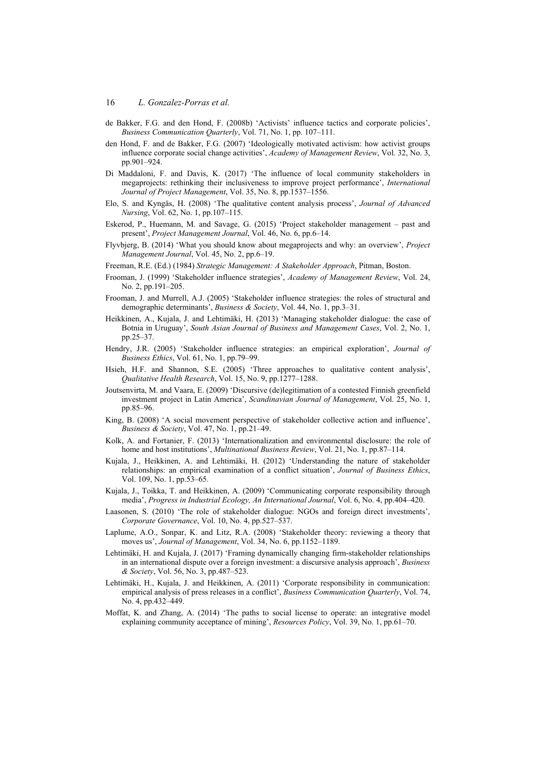- de Bakker, F.G. and den Hond, F. (2008b) 'Activists' influence tactics and corporate policies', *Business Communication Quarterly*, Vol. 71, No. 1, pp. 107–111.
- den Hond, F. and de Bakker, F.G. (2007) 'Ideologically motivated activism: how activist groups influence corporate social change activities', *Academy of Management Review*, Vol. 32, No. 3, pp.901–924.
- Di Maddaloni, F. and Davis, K. (2017) 'The influence of local community stakeholders in megaprojects: rethinking their inclusiveness to improve project performance', *International Journal of Project Management*, Vol. 35, No. 8, pp.1537–1556.
- Elo, S. and Kyngäs, H. (2008) 'The qualitative content analysis process', *Journal of Advanced Nursing*, Vol. 62, No. 1, pp.107–115.
- Eskerod, P., Huemann, M. and Savage, G. (2015) 'Project stakeholder management past and present', *Project Management Journal*, Vol. 46, No. 6, pp.6–14.
- Flyvbjerg, B. (2014) 'What you should know about megaprojects and why: an overview', *Project Management Journal*, Vol. 45, No. 2, pp.6–19.
- Freeman, R.E. (Ed.) (1984) *Strategic Management: A Stakeholder Approach*, Pitman, Boston.
- Frooman, J. (1999) 'Stakeholder influence strategies', *Academy of Management Review*, Vol. 24, No. 2, pp.191–205.
- Frooman, J. and Murrell, A.J. (2005) 'Stakeholder influence strategies: the roles of structural and demographic determinants', *Business & Society*, Vol. 44, No. 1, pp.3–31.
- Heikkinen, A., Kujala, J. and Lehtimäki, H. (2013) 'Managing stakeholder dialogue: the case of Botnia in Uruguay', *South Asian Journal of Business and Management Cases*, Vol. 2, No. 1, pp.25–37.
- Hendry, J.R. (2005) 'Stakeholder influence strategies: an empirical exploration', *Journal of Business Ethics*, Vol. 61, No. 1, pp.79–99.
- Hsieh, H.F. and Shannon, S.E. (2005) 'Three approaches to qualitative content analysis', *Qualitative Health Research*, Vol. 15, No. 9, pp.1277–1288.
- Joutsenvirta, M. and Vaara, E. (2009) 'Discursive (de)legitimation of a contested Finnish greenfield investment project in Latin America', *Scandinavian Journal of Management*, Vol. 25, No. 1, pp.85–96.
- King, B. (2008) 'A social movement perspective of stakeholder collective action and influence', *Business & Society*, Vol. 47, No. 1, pp.21–49.
- Kolk, A. and Fortanier, F. (2013) 'Internationalization and environmental disclosure: the role of home and host institutions', *Multinational Business Review*, Vol. 21, No. 1, pp.87–114.
- Kujala, J., Heikkinen, A. and Lehtimäki, H. (2012) 'Understanding the nature of stakeholder relationships: an empirical examination of a conflict situation', *Journal of Business Ethics*, Vol. 109, No. 1, pp.53–65.
- Kujala, J., Toikka, T. and Heikkinen, A. (2009) 'Communicating corporate responsibility through media', *Progress in Industrial Ecology, An International Journal*, Vol. 6, No. 4, pp.404–420.
- Laasonen, S. (2010) 'The role of stakeholder dialogue: NGOs and foreign direct investments', *Corporate Governance*, Vol. 10, No. 4, pp.527–537.
- Laplume, A.O., Sonpar, K. and Litz, R.A. (2008) 'Stakeholder theory: reviewing a theory that moves us', *Journal of Management*, Vol. 34, No. 6, pp.1152–1189.
- Lehtimäki, H. and Kujala, J. (2017) 'Framing dynamically changing firm-stakeholder relationships in an international dispute over a foreign investment: a discursive analysis approach', *Business & Society*, Vol. 56, No. 3, pp.487–523.
- Lehtimäki, H., Kujala, J. and Heikkinen, A. (2011) 'Corporate responsibility in communication: empirical analysis of press releases in a conflict', *Business Communication Quarterly*, Vol. 74, No. 4, pp.432–449.
- Moffat, K. and Zhang, A. (2014) 'The paths to social license to operate: an integrative model explaining community acceptance of mining', *Resources Policy*, Vol. 39, No. 1, pp.61–70.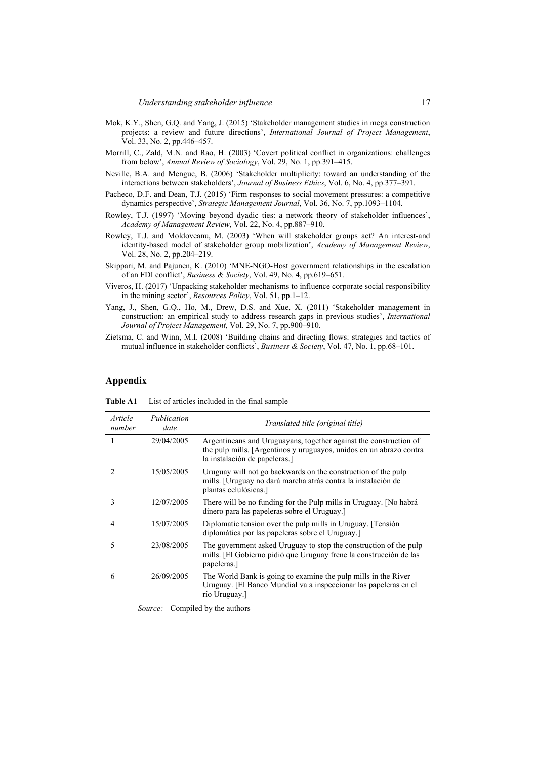- Mok, K.Y., Shen, G.Q. and Yang, J. (2015) 'Stakeholder management studies in mega construction projects: a review and future directions', *International Journal of Project Management*, Vol. 33, No. 2, pp.446–457.
- Morrill, C., Zald, M.N. and Rao, H. (2003) 'Covert political conflict in organizations: challenges from below', *Annual Review of Sociology*, Vol. 29, No. 1, pp.391–415.
- Neville, B.A. and Menguc, B. (2006) 'Stakeholder multiplicity: toward an understanding of the interactions between stakeholders', *Journal of Business Ethics*, Vol. 6, No. 4, pp.377–391.
- Pacheco, D.F. and Dean, T.J. (2015) 'Firm responses to social movement pressures: a competitive dynamics perspective', *Strategic Management Journal*, Vol. 36, No. 7, pp.1093–1104.
- Rowley, T.J. (1997) 'Moving beyond dyadic ties: a network theory of stakeholder influences', *Academy of Management Review*, Vol. 22, No. 4, pp.887–910.
- Rowley, T.J. and Moldoveanu, M. (2003) 'When will stakeholder groups act? An interest-and identity-based model of stakeholder group mobilization', *Academy of Management Review*, Vol. 28, No. 2, pp.204–219.
- Skippari, M. and Pajunen, K. (2010) 'MNE-NGO-Host government relationships in the escalation of an FDI conflict', *Business & Society*, Vol. 49, No. 4, pp.619–651.
- Viveros, H. (2017) 'Unpacking stakeholder mechanisms to influence corporate social responsibility in the mining sector', *Resources Policy*, Vol. 51, pp.1–12.
- Yang, J., Shen, G.Q., Ho, M., Drew, D.S. and Xue, X. (2011) 'Stakeholder management in construction: an empirical study to address research gaps in previous studies', *International Journal of Project Management*, Vol. 29, No. 7, pp.900–910.
- Zietsma, C. and Winn, M.I. (2008) 'Building chains and directing flows: strategies and tactics of mutual influence in stakeholder conflicts', *Business & Society*, Vol. 47, No. 1, pp.68–101.

## **Appendix**

**Table A1** List of articles included in the final sample

| Article<br>number | Publication<br>date | Translated title (original title)                                                                                                                                         |
|-------------------|---------------------|---------------------------------------------------------------------------------------------------------------------------------------------------------------------------|
|                   | 29/04/2005          | Argentineans and Uruguayans, together against the construction of<br>the pulp mills. [Argentinos y uruguayos, unidos en un abrazo contra<br>la instalación de papeleras.] |
|                   | 15/05/2005          | Uruguay will not go backwards on the construction of the pulp<br>mills. [Uruguay no dará marcha atrás contra la instalación de<br>plantas celulósicas.]                   |
| 3                 | 12/07/2005          | There will be no funding for the Pulp mills in Uruguay. [No habrá]<br>dinero para las papeleras sobre el Uruguay.]                                                        |
| 4                 | 15/07/2005          | Diplomatic tension over the pulp mills in Uruguay. [Tensión]<br>diplomática por las papeleras sobre el Uruguay.]                                                          |
| 5                 | 23/08/2005          | The government asked Uruguay to stop the construction of the pulp<br>mills. [El Gobierno pidió que Uruguay frene la construcción de las<br>papeleras.]                    |
| h                 | 26/09/2005          | The World Bank is going to examine the pulp mills in the River<br>Uruguay. [El Banco Mundial va a inspeccionar las papeleras en el<br>río Uruguay.]                       |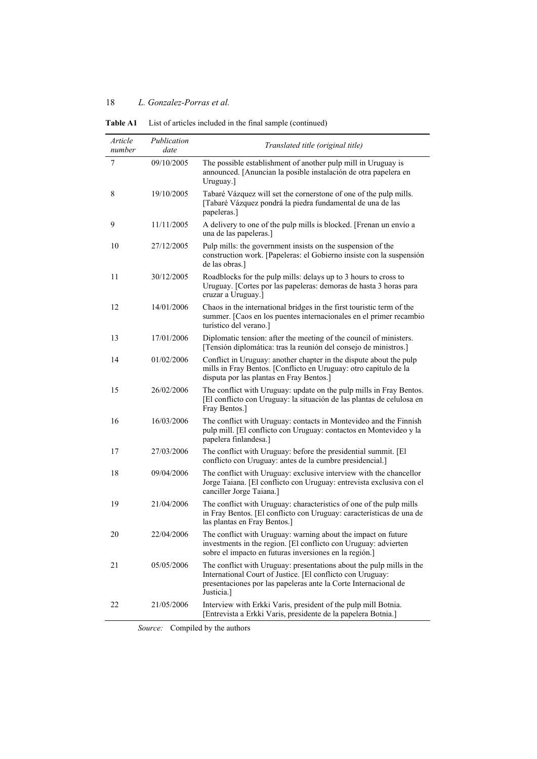|  | <b>Table A1</b> List of articles included in the final sample (continued) |  |
|--|---------------------------------------------------------------------------|--|
|--|---------------------------------------------------------------------------|--|

| Article<br>number | Publication<br>date | Translated title (original title)                                                                                                                                                                                   |
|-------------------|---------------------|---------------------------------------------------------------------------------------------------------------------------------------------------------------------------------------------------------------------|
| 7                 | 09/10/2005          | The possible establishment of another pulp mill in Uruguay is<br>announced. [Anuncian la posible instalación de otra papelera en<br>Uruguay.]                                                                       |
| 8                 | 19/10/2005          | Tabaré Vázquez will set the cornerstone of one of the pulp mills.<br>[Tabaré Vázquez pondrá la piedra fundamental de una de las<br>papeleras.]                                                                      |
| 9                 | 11/11/2005          | A delivery to one of the pulp mills is blocked. [Frenan un envío a<br>una de las papeleras.]                                                                                                                        |
| 10                | 27/12/2005          | Pulp mills: the government insists on the suspension of the<br>construction work. [Papeleras: el Gobierno insiste con la suspensión<br>de las obras.]                                                               |
| 11                | 30/12/2005          | Roadblocks for the pulp mills: delays up to 3 hours to cross to<br>Uruguay. [Cortes por las papeleras: demoras de hasta 3 horas para<br>cruzar a Uruguay.]                                                          |
| 12                | 14/01/2006          | Chaos in the international bridges in the first touristic term of the<br>summer. [Caos en los puentes internacionales en el primer recambio<br>turístico del verano.]                                               |
| 13                | 17/01/2006          | Diplomatic tension: after the meeting of the council of ministers.<br>[Tensión diplomática: tras la reunión del consejo de ministros.]                                                                              |
| 14                | 01/02/2006          | Conflict in Uruguay: another chapter in the dispute about the pulp<br>mills in Fray Bentos. [Conflicto en Uruguay: otro capítulo de la<br>disputa por las plantas en Fray Bentos.]                                  |
| 15                | 26/02/2006          | The conflict with Uruguay: update on the pulp mills in Fray Bentos.<br>[El conflicto con Uruguay: la situación de las plantas de celulosa en<br>Fray Bentos.]                                                       |
| 16                | 16/03/2006          | The conflict with Uruguay: contacts in Montevideo and the Finnish<br>pulp mill. [El conflicto con Uruguay: contactos en Montevideo y la<br>papelera finlandesa.]                                                    |
| 17                | 27/03/2006          | The conflict with Uruguay: before the presidential summit. [El<br>conflicto con Uruguay: antes de la cumbre presidencial.]                                                                                          |
| 18                | 09/04/2006          | The conflict with Uruguay: exclusive interview with the chancellor<br>Jorge Taiana. [El conflicto con Uruguay: entrevista exclusiva con el<br>canciller Jorge Taiana.]                                              |
| 19                | 21/04/2006          | The conflict with Uruguay: characteristics of one of the pulp mills<br>in Fray Bentos. [El conflicto con Uruguay: características de una de<br>las plantas en Fray Bentos.]                                         |
| 20                | 22/04/2006          | The conflict with Uruguay: warning about the impact on future<br>investments in the region. [El conflicto con Uruguay: advierten<br>sobre el impacto en futuras inversiones en la región.]                          |
| 21                | 05/05/2006          | The conflict with Uruguay: presentations about the pulp mills in the<br>International Court of Justice. [El conflicto con Uruguay:<br>presentaciones por las papeleras ante la Corte Internacional de<br>Justicia.] |
| 22                | 21/05/2006          | Interview with Erkki Varis, president of the pulp mill Botnia.<br>[Entrevista a Erkki Varis, presidente de la papelera Botnia.]                                                                                     |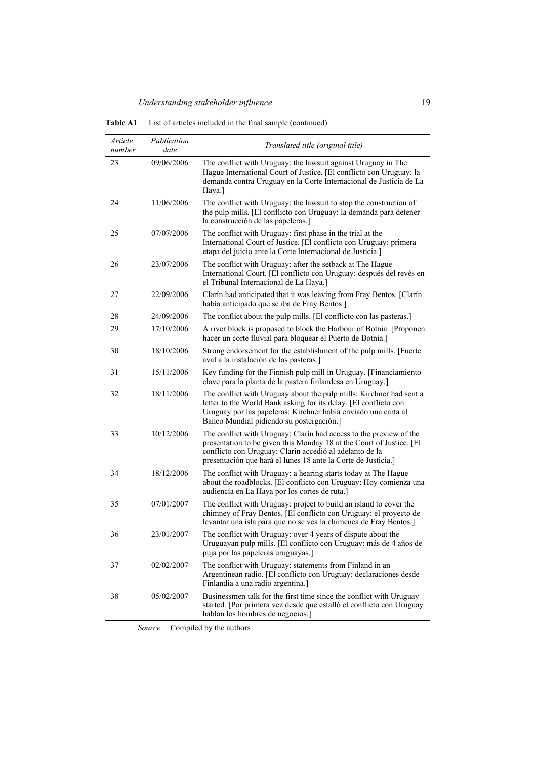**Table A1** List of articles included in the final sample (continued)

| <i>Article</i><br>number | Publication<br>date | Translated title (original title)                                                                                                                                                                                                                                      |
|--------------------------|---------------------|------------------------------------------------------------------------------------------------------------------------------------------------------------------------------------------------------------------------------------------------------------------------|
| 23                       | 09/06/2006          | The conflict with Uruguay: the lawsuit against Uruguay in The<br>Hague International Court of Justice. [El conflicto con Uruguay: la<br>demanda contra Uruguay en la Corte Internacional de Justicia de La<br>Haya.]                                                   |
| 24                       | 11/06/2006          | The conflict with Uruguay: the lawsuit to stop the construction of<br>the pulp mills. [El conflicto con Uruguay: la demanda para detener<br>la construcción de las papeleras.]                                                                                         |
| 25                       | 07/07/2006          | The conflict with Uruguay: first phase in the trial at the<br>International Court of Justice. [El conflicto con Uruguay: primera<br>etapa del juicio ante la Corte Internacional de Justicia.]                                                                         |
| 26                       | 23/07/2006          | The conflict with Uruguay: after the setback at The Hague<br>International Court. [El conflicto con Uruguay: después del revés en<br>el Tribunal Internacional de La Haya.]                                                                                            |
| 27                       | 22/09/2006          | Clarín had anticipated that it was leaving from Fray Bentos. [Clarín]<br>había anticipado que se iba de Fray Bentos.]                                                                                                                                                  |
| 28                       | 24/09/2006          | The conflict about the pulp mills. [El conflicto con las pasteras.]                                                                                                                                                                                                    |
| 29                       | 17/10/2006          | A river block is proposed to block the Harbour of Botnia. [Proponen]<br>hacer un corte fluvial para bloquear el Puerto de Botnia.]                                                                                                                                     |
| 30                       | 18/10/2006          | Strong endorsement for the establishment of the pulp mills. [Fuerte<br>aval a la instalación de las pasteras.                                                                                                                                                          |
| 31                       | 15/11/2006          | Key funding for the Finnish pulp mill in Uruguay. [Financiamiento]<br>clave para la planta de la pastera finlandesa en Uruguay.]                                                                                                                                       |
| 32                       | 18/11/2006          | The conflict with Uruguay about the pulp mills: Kirchner had sent a<br>letter to the World Bank asking for its delay. [El conflicto con<br>Uruguay por las papeleras: Kirchner había enviado una carta al<br>Banco Mundial pidiendo su postergación.]                  |
| 33                       | 10/12/2006          | The conflict with Uruguay: Clarín had access to the preview of the<br>presentation to be given this Monday 18 at the Court of Justice. [El<br>conflicto con Uruguay: Clarín accedió al adelanto de la<br>presentación que hará el lunes 18 ante la Corte de Justicia.] |
| 34                       | 18/12/2006          | The conflict with Uruguay: a hearing starts today at The Hague<br>about the roadblocks. [El conflicto con Uruguay: Hoy comienza una<br>audiencia en La Haya por los cortes de ruta.]                                                                                   |
| 35                       | 07/01/2007          | The conflict with Uruguay: project to build an island to cover the<br>chimney of Fray Bentos. [El conflicto con Uruguay: el proyecto de<br>levantar una isla para que no se vea la chimenea de Fray Bentos.]                                                           |
| 36                       | 23/01/2007          | The conflict with Uruguay: over 4 years of dispute about the<br>Uruguayan pulp mills. [El conflicto con Uruguay: más de 4 años de<br>puja por las papeleras uruguayas.]                                                                                                |
| 37                       | 02/02/2007          | The conflict with Uruguay: statements from Finland in an<br>Argentinean radio. [El conflicto con Uruguay: declaraciones desde<br>Finlandia a una radio argentina.]                                                                                                     |
| 38                       | 05/02/2007          | Businessmen talk for the first time since the conflict with Uruguay<br>started. [Por primera vez desde que estalló el conflicto con Uruguay<br>hablan los hombres de negocios.]                                                                                        |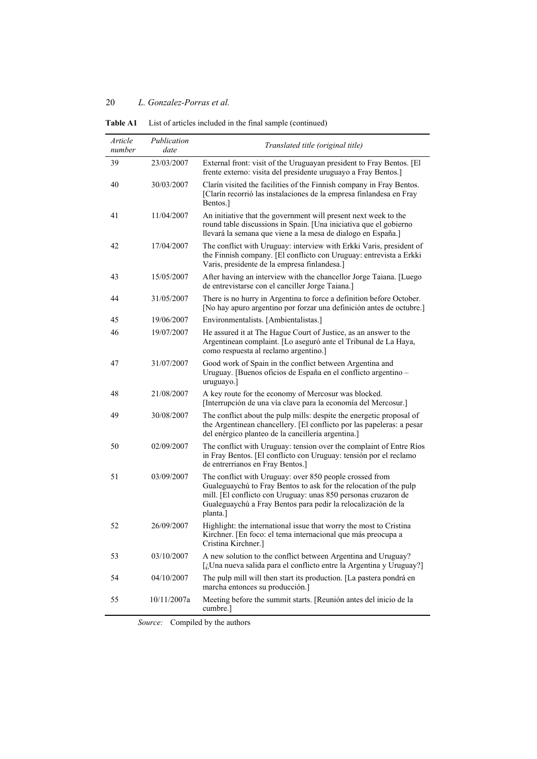**Table A1** List of articles included in the final sample (continued)

| <i>Article</i><br>number | Publication<br>date | Translated title (original title)                                                                                                                                                                                                                                           |
|--------------------------|---------------------|-----------------------------------------------------------------------------------------------------------------------------------------------------------------------------------------------------------------------------------------------------------------------------|
| 39                       | 23/03/2007          | External front: visit of the Uruguayan president to Fray Bentos. [El<br>frente externo: visita del presidente uruguayo a Fray Bentos.]                                                                                                                                      |
| 40                       | 30/03/2007          | Clarín visited the facilities of the Finnish company in Fray Bentos.<br>[Clarín recorrió las instalaciones de la empresa finlandesa en Fray<br>Bentos.                                                                                                                      |
| 41                       | 11/04/2007          | An initiative that the government will present next week to the<br>round table discussions in Spain. [Una iniciativa que el gobierno<br>llevará la semana que viene a la mesa de dialogo en España.]                                                                        |
| 42                       | 17/04/2007          | The conflict with Uruguay: interview with Erkki Varis, president of<br>the Finnish company. [El conflicto con Uruguay: entrevista a Erkki<br>Varis, presidente de la empresa finlandesa.]                                                                                   |
| 43                       | 15/05/2007          | After having an interview with the chancellor Jorge Taiana. [Luego<br>de entrevistarse con el canciller Jorge Taiana.]                                                                                                                                                      |
| 44                       | 31/05/2007          | There is no hurry in Argentina to force a definition before October.<br>[No hay apuro argentino por forzar una definición antes de octubre.]                                                                                                                                |
| 45                       | 19/06/2007          | Environmentalists. [Ambientalistas.]                                                                                                                                                                                                                                        |
| 46                       | 19/07/2007          | He assured it at The Hague Court of Justice, as an answer to the<br>Argentinean complaint. [Lo aseguró ante el Tribunal de La Haya,<br>como respuesta al reclamo argentino.]                                                                                                |
| 47                       | 31/07/2007          | Good work of Spain in the conflict between Argentina and<br>Uruguay. [Buenos oficios de España en el conflicto argentino –<br>uruguayo.]                                                                                                                                    |
| 48                       | 21/08/2007          | A key route for the economy of Mercosur was blocked.<br>[Interrupción de una vía clave para la economía del Mercosur.]                                                                                                                                                      |
| 49                       | 30/08/2007          | The conflict about the pulp mills: despite the energetic proposal of<br>the Argentinean chancellery. [El conflicto por las papeleras: a pesar<br>del enérgico planteo de la cancillería argentina.]                                                                         |
| 50                       | 02/09/2007          | The conflict with Uruguay: tension over the complaint of Entre Ríos<br>in Fray Bentos. [El conflicto con Uruguay: tensión por el reclamo<br>de entrerrianos en Fray Bentos.]                                                                                                |
| 51                       | 03/09/2007          | The conflict with Uruguay: over 850 people crossed from<br>Gualeguaychú to Fray Bentos to ask for the relocation of the pulp<br>mill. [El conflicto con Uruguay: unas 850 personas cruzaron de<br>Gualeguaychú a Fray Bentos para pedir la relocalización de la<br>planta.] |
| 52                       | 26/09/2007          | Highlight: the international issue that worry the most to Cristina<br>Kirchner. [En foco: el tema internacional que más preocupa a<br>Cristina Kirchner.]                                                                                                                   |
| 53                       | 03/10/2007          | A new solution to the conflict between Argentina and Uruguay?<br>[¿Una nueva salida para el conflicto entre la Argentina y Uruguay?]                                                                                                                                        |
| 54                       | 04/10/2007          | The pulp mill will then start its production. [La pastera pondrá en<br>marcha entonces su producción.]                                                                                                                                                                      |
| 55                       | 10/11/2007a         | Meeting before the summit starts. [Reunión antes del inicio de la<br>cumbre.                                                                                                                                                                                                |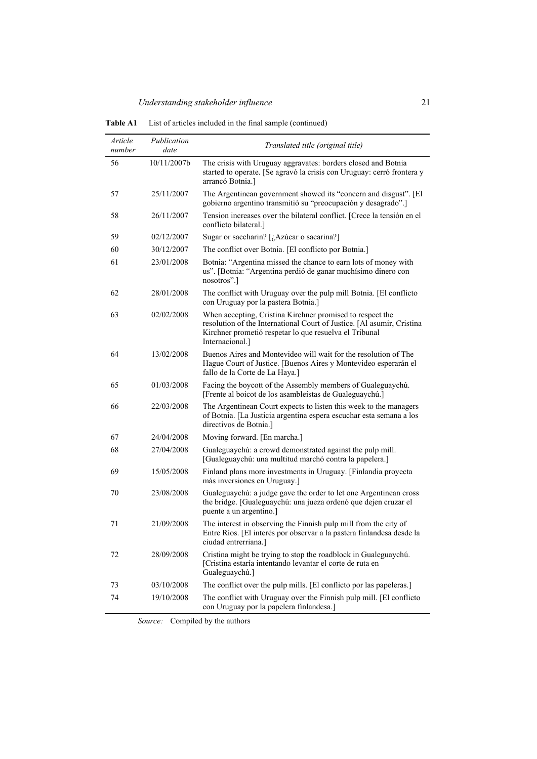**Table A1** List of articles included in the final sample (continued)

| <i>Article</i> | Publication | Translated title (original title)                                                                                                                                                                                |
|----------------|-------------|------------------------------------------------------------------------------------------------------------------------------------------------------------------------------------------------------------------|
| number         | date        |                                                                                                                                                                                                                  |
| 56             | 10/11/2007b | The crisis with Uruguay aggravates: borders closed and Botnia<br>started to operate. [Se agravó la crisis con Uruguay: cerró frontera y<br>arrancó Botnia.]                                                      |
| 57             | 25/11/2007  | The Argentinean government showed its "concern and disgust". [El<br>gobierno argentino transmitió su "preocupación y desagrado".]                                                                                |
| 58             | 26/11/2007  | Tension increases over the bilateral conflict. [Crece la tensión en el<br>conflicto bilateral.                                                                                                                   |
| 59             | 02/12/2007  | Sugar or saccharin? [¿Azúcar o sacarina?]                                                                                                                                                                        |
| 60             | 30/12/2007  | The conflict over Botnia. [El conflicto por Botnia.]                                                                                                                                                             |
| 61             | 23/01/2008  | Botnia: "Argentina missed the chance to earn lots of money with<br>us". [Botnia: "Argentina perdió de ganar muchísimo dinero con<br>nosotros".]                                                                  |
| 62             | 28/01/2008  | The conflict with Uruguay over the pulp mill Botnia. [El conflicto]<br>con Uruguay por la pastera Botnia.]                                                                                                       |
| 63             | 02/02/2008  | When accepting, Cristina Kirchner promised to respect the<br>resolution of the International Court of Justice. [Al asumir, Cristina<br>Kirchner prometió respetar lo que resuelva el Tribunal<br>Internacional.] |
| 64             | 13/02/2008  | Buenos Aires and Montevideo will wait for the resolution of The<br>Hague Court of Justice. [Buenos Aires y Montevideo esperarán el<br>fallo de la Corte de La Haya.]                                             |
| 65             | 01/03/2008  | Facing the boycott of the Assembly members of Gualeguaychú.<br>[Frente al boicot de los asambleístas de Gualeguaychú.]                                                                                           |
| 66             | 22/03/2008  | The Argentinean Court expects to listen this week to the managers<br>of Botnia. [La Justicia argentina espera escuchar esta semana a los<br>directivos de Botnia.]                                               |
| 67             | 24/04/2008  | Moving forward. [En marcha.]                                                                                                                                                                                     |
| 68             | 27/04/2008  | Gualeguaychú: a crowd demonstrated against the pulp mill.<br>[Gualeguaychú: una multitud marchó contra la papelera.]                                                                                             |
| 69             | 15/05/2008  | Finland plans more investments in Uruguay. [Finlandia proyecta<br>más inversiones en Uruguay.                                                                                                                    |
| 70             | 23/08/2008  | Gualeguaychú: a judge gave the order to let one Argentinean cross<br>the bridge. [Gualeguaychú: una jueza ordenó que dejen cruzar el<br>puente a un argentino.                                                   |
| 71             | 21/09/2008  | The interest in observing the Finnish pulp mill from the city of<br>Entre Ríos. [El interés por observar a la pastera finlandesa desde la<br>ciudad entrerriana.]                                                |
| 72             | 28/09/2008  | Cristina might be trying to stop the roadblock in Gualeguaychú.<br>[Cristina estaría intentando levantar el corte de ruta en<br>Gualeguaychú.]                                                                   |
| 73             | 03/10/2008  | The conflict over the pulp mills. [El conflicto por las papeleras.]                                                                                                                                              |
| 74             | 19/10/2008  | The conflict with Uruguay over the Finnish pulp mill. [El conflicto]<br>con Uruguay por la papelera finlandesa.]                                                                                                 |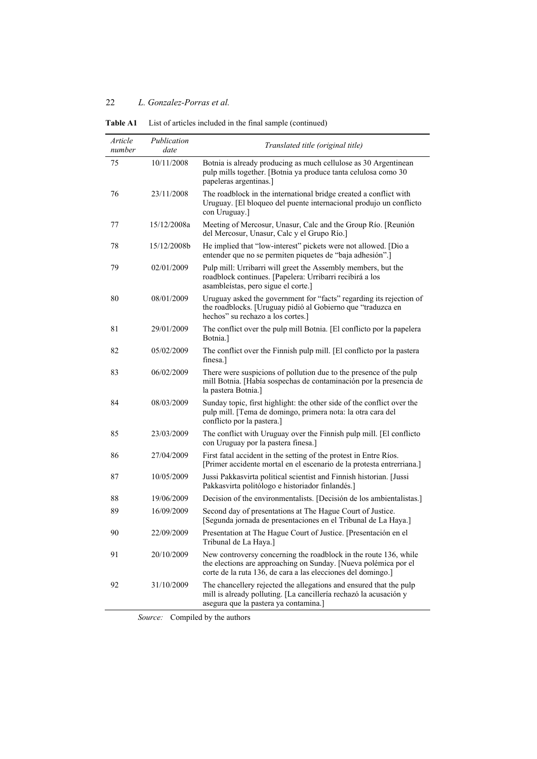| List of articles included in the final sample (continued)<br><b>Table A1</b> |  |
|------------------------------------------------------------------------------|--|
|------------------------------------------------------------------------------|--|

| <i>Article</i><br>number | Publication<br>date | Translated title (original title)                                                                                                                                                                   |
|--------------------------|---------------------|-----------------------------------------------------------------------------------------------------------------------------------------------------------------------------------------------------|
| 75                       | 10/11/2008          | Botnia is already producing as much cellulose as 30 Argentinean<br>pulp mills together. [Botnia ya produce tanta celulosa como 30<br>papeleras argentinas.]                                         |
| 76                       | 23/11/2008          | The roadblock in the international bridge created a conflict with<br>Uruguay. [El bloqueo del puente internacional produjo un conflicto<br>con Uruguay.]                                            |
| 77                       | 15/12/2008a         | Meeting of Mercosur, Unasur, Calc and the Group Río. [Reunión<br>del Mercosur, Unasur, Calc y el Grupo Río.]                                                                                        |
| 78                       | 15/12/2008b         | He implied that "low-interest" pickets were not allowed. [Dio a<br>entender que no se permiten piquetes de "baja adhesión".]                                                                        |
| 79                       | 02/01/2009          | Pulp mill: Urribarri will greet the Assembly members, but the<br>roadblock continues. [Papelera: Urribarri recibirá a los<br>asambleístas, pero sigue el corte.]                                    |
| 80                       | 08/01/2009          | Uruguay asked the government for "facts" regarding its rejection of<br>the roadblocks. [Uruguay pidió al Gobierno que "traduzca en<br>hechos" su rechazo a los cortes.]                             |
| 81                       | 29/01/2009          | The conflict over the pulp mill Botnia. [El conflicto por la papelera]<br>Botnia.                                                                                                                   |
| 82                       | 05/02/2009          | The conflict over the Finnish pulp mill. [El conflicto por la pastera<br>finesa.]                                                                                                                   |
| 83                       | 06/02/2009          | There were suspicions of pollution due to the presence of the pulp<br>mill Botnia. [Había sospechas de contaminación por la presencia de<br>la pastera Botnia.]                                     |
| 84                       | 08/03/2009          | Sunday topic, first highlight: the other side of the conflict over the<br>pulp mill. [Tema de domingo, primera nota: la otra cara del<br>conflicto por la pastera.]                                 |
| 85                       | 23/03/2009          | The conflict with Uruguay over the Finnish pulp mill. [El conflicto]<br>con Uruguay por la pastera finesa.]                                                                                         |
| 86                       | 27/04/2009          | First fatal accident in the setting of the protest in Entre Ríos.<br>[Primer accidente mortal en el escenario de la protesta entrerriana.]                                                          |
| 87                       | 10/05/2009          | Jussi Pakkasvirta political scientist and Finnish historian. [Jussi<br>Pakkasvirta politólogo e historiador finlandés.]                                                                             |
| 88                       | 19/06/2009          | Decision of the environmentalists. [Decisión de los ambientalistas.]                                                                                                                                |
| 89                       | 16/09/2009          | Second day of presentations at The Hague Court of Justice.<br>[Segunda jornada de presentaciones en el Tribunal de La Haya.]                                                                        |
| 90                       | 22/09/2009          | Presentation at The Hague Court of Justice. [Presentación en el<br>Tribunal de La Haya.]                                                                                                            |
| 91                       | 20/10/2009          | New controversy concerning the roadblock in the route 136, while<br>the elections are approaching on Sunday. [Nueva polémica por el<br>corte de la ruta 136, de cara a las elecciones del domingo.] |
| 92                       | 31/10/2009          | The chancellery rejected the allegations and ensured that the pulp<br>mill is already polluting. [La cancillería rechazó la acusación y<br>asegura que la pastera ya contamina.]                    |